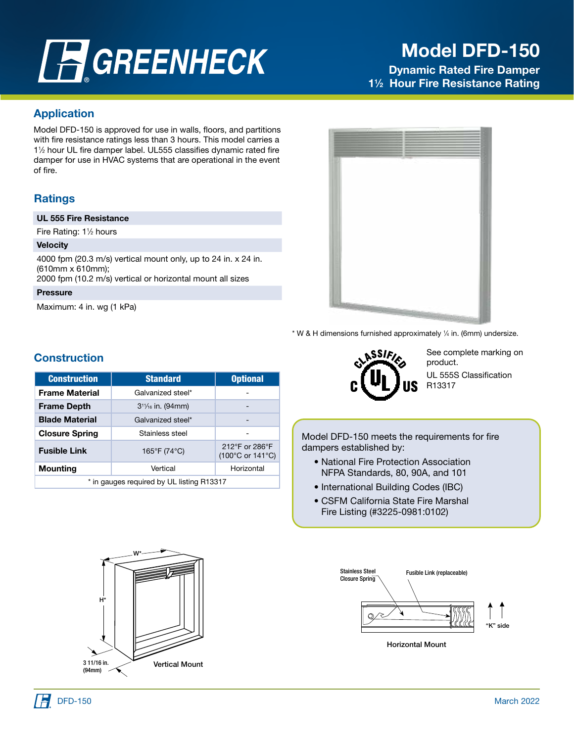# **FGREENHECK**

## Model DFD-150

Dynamic Rated Fire Damper 1<sup>1/2</sup> Hour Fire Resistance Rating

#### Application

Model DFD-150 is approved for use in walls, floors, and partitions with fire resistance ratings less than 3 hours. This model carries a 11 ⁄2 hour UL fire damper label. UL555 classifies dynamic rated fire damper for use in HVAC systems that are operational in the event of fire.

#### **Ratings**

#### UL 555 Fire Resistance

Fire Rating: 1<sup>1</sup>/<sub>2</sub> hours

#### **Velocity**

4000 fpm (20.3 m/s) vertical mount only, up to 24 in. x 24 in. (610mm x 610mm);

2000 fpm (10.2 m/s) vertical or horizontal mount all sizes

#### Pressure

Maximum: 4 in. wg (1 kPa)



\* W & H dimensions furnished approximately 1 ⁄4 in. (6mm) undersize.

## **Construction**

| <b>Construction</b>                             | <b>Standard</b>   | <b>Optional</b>                                         |  |  |
|-------------------------------------------------|-------------------|---------------------------------------------------------|--|--|
| <b>Frame Material</b>                           | Galvanized steel* |                                                         |  |  |
| <b>Frame Depth</b><br>$3^{11}/_{16}$ in. (94mm) |                   | -                                                       |  |  |
| <b>Blade Material</b><br>Galvanized steel*      |                   |                                                         |  |  |
| <b>Closure Spring</b>                           | Stainless steel   |                                                         |  |  |
| <b>Fusible Link</b>                             | 165°F (74°C)      | 212°F or 286°F<br>$(100^{\circ}$ C or 141 $^{\circ}$ C) |  |  |
| <b>Mounting</b>                                 | Vertical          | Horizontal                                              |  |  |
| * in gauges required by UL listing R13317       |                   |                                                         |  |  |



See complete marking on product. UL 555S Classification R13317

 Model DFD-150 meets the requirements for fire dampers established by:

- National Fire Protection Association NFPA Standards, 80, 90A, and 101
- International Building Codes (IBC)
- CSFM California State Fire Marshal Fire Listing (#3225-0981:0102)



Horizontal Mount

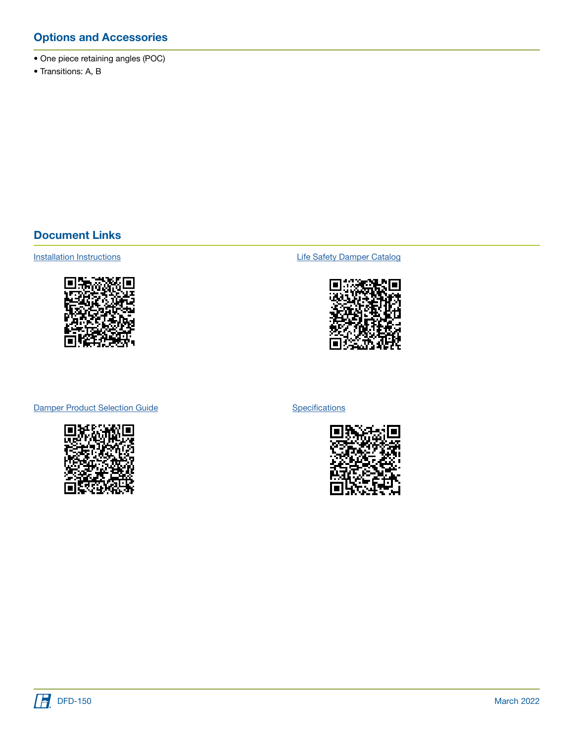### Options and Accessories

- One piece retaining angles (POC)
- Transitions: A, B

#### Document Links



[Installation Instructions](https://content.greenheck.com/public/DAMProd/Original/10001/481324CurtainFireDampers_iom.pdf) **Installation Instructions [Life Safety Damper Catalog](https://content.greenheck.com/public/DAMProd/Original/10015/LifeSafetyDampers_catalog.pdf)** 



[Damper Product Selection Guide](https://content.greenheck.com/public/DAMProd/Original/10002/InteractiveDamperSelectionGuide.pdf)



**[Specifications](https://content.greenheck.com/public/DAMProd/Original/10002/DFDseries_spec.rtf)** 



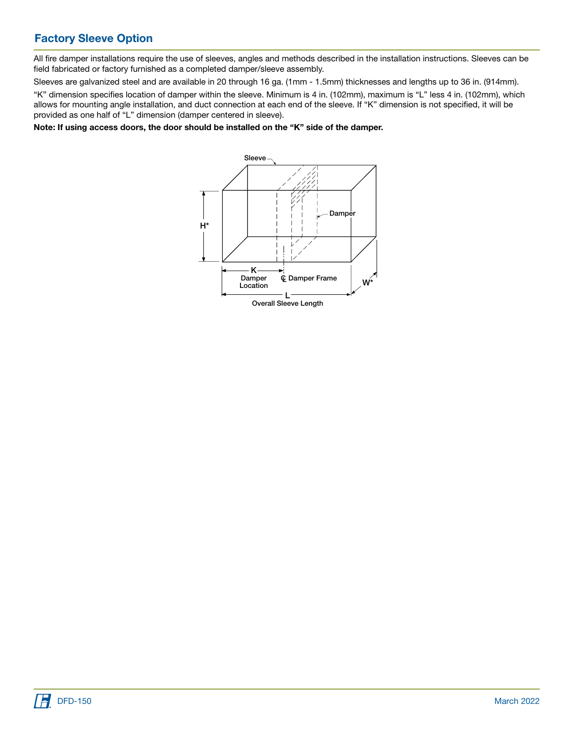## Factory Sleeve Option

All fire damper installations require the use of sleeves, angles and methods described in the installation instructions. Sleeves can be field fabricated or factory furnished as a completed damper/sleeve assembly.

Sleeves are galvanized steel and are available in 20 through 16 ga. (1mm - 1.5mm) thicknesses and lengths up to 36 in. (914mm).

"K" dimension specifies location of damper within the sleeve. Minimum is 4 in. (102mm), maximum is "L" less 4 in. (102mm), which allows for mounting angle installation, and duct connection at each end of the sleeve. If "K" dimension is not specified, it will be provided as one half of "L" dimension (damper centered in sleeve).

Note: If using access doors, the door should be installed on the "K" side of the damper.



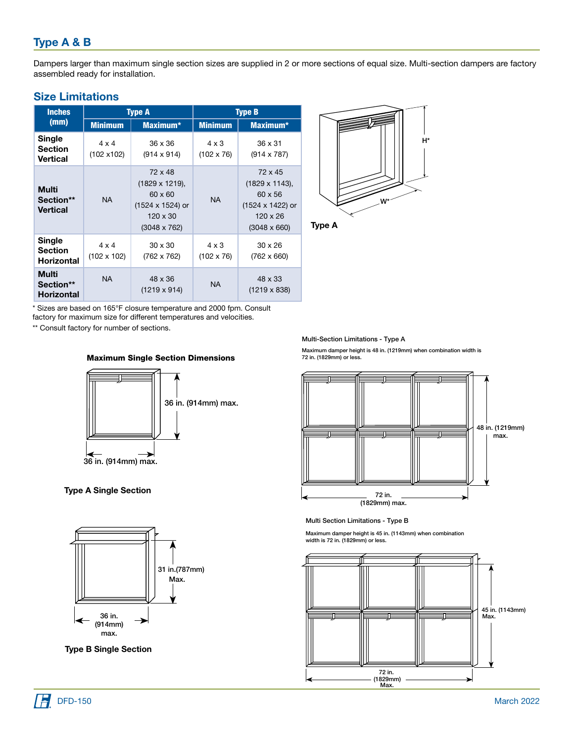## Type A & B

Dampers larger than maximum single section sizes are supplied in 2 or more sections of equal size. Multi-section dampers are factory assembled ready for installation.

| <b>Size Limitations</b> |  |  |  |  |  |
|-------------------------|--|--|--|--|--|
|-------------------------|--|--|--|--|--|

| <b>Inches</b>                                        |                                    | <b>Type A</b>                                                                                                    | <b>Type B</b>                     |                                                                                                                  |  |
|------------------------------------------------------|------------------------------------|------------------------------------------------------------------------------------------------------------------|-----------------------------------|------------------------------------------------------------------------------------------------------------------|--|
| (mm)                                                 | <b>Minimum</b>                     | <b>Maximum*</b>                                                                                                  |                                   | <b>Maximum*</b>                                                                                                  |  |
| Single<br><b>Section</b><br>Vertical                 | $4 \times 4$<br>(102 x102)         | 36 x 36<br>$(914 \times 914)$                                                                                    | $4 \times 3$<br>$(102 \times 76)$ | $36 \times 31$<br>$(914 \times 787)$                                                                             |  |
| Multi<br>Section**<br><b>Vertical</b>                | <b>NA</b>                          | 72 x 48<br>$(1829 \times 1219),$<br>$60 \times 60$<br>(1524 x 1524) or<br>$120 \times 30$<br>$(3048 \times 762)$ | <b>NA</b>                         | 72 x 45<br>$(1829 \times 1143),$<br>$60 \times 56$<br>(1524 x 1422) or<br>$120 \times 26$<br>$(3048 \times 660)$ |  |
| <b>Single</b><br><b>Section</b><br><b>Horizontal</b> | $4 \times 4$<br>$(102 \times 102)$ | $30 \times 30$<br>(762 x 762)                                                                                    | $4 \times 3$<br>$(102 \times 76)$ | $30 \times 26$<br>$(762 \times 660)$                                                                             |  |
| Multi<br>Section**<br><b>Horizontal</b>              | <b>NA</b>                          | 48 x 36<br>(1219 x 914)                                                                                          | <b>NA</b>                         | 48 x 33<br>$(1219 \times 838)$                                                                                   |  |



Type A

\* Sizes are based on 165°F closure temperature and 2000 fpm. Consult factory for maximum size for different temperatures and velocities.

\*\* Consult factory for number of sections.





**Type A Single Section** pe A omgle o



Type B Single Section

Multi-Section Limitations - Type A

Maximum damper height is 48 in. (1219mm) when combination width is<br>72 in. (1829mm) or less.



Multi Section Limitations - Type B

Maximum damper height is 45 in. (1143mm) when combination width is 72 in. (1829mm) or less.